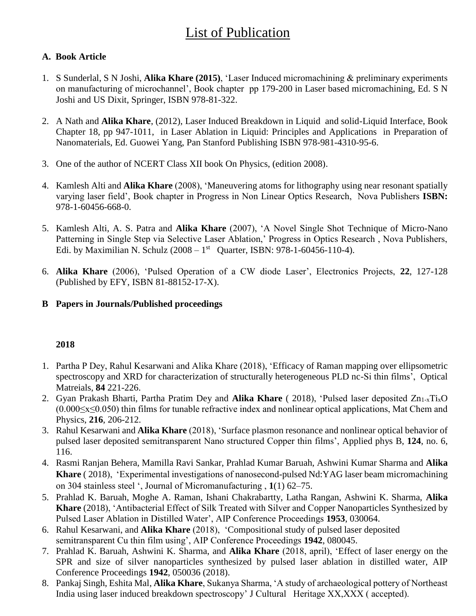# **List of Publication**

## **A. Book Article**

- 1. S Sunderlal, S N Joshi, **Alika Khare (2015)**, 'Laser Induced micromachining & preliminary experiments on manufacturing of microchannel', Book chapter pp 179-200 in Laser based micromachining, Ed. S N Joshi and US Dixit, Springer, ISBN 978-81-322.
- 2. A Nath and **Alika Khare**, (2012), Laser Induced Breakdown in Liquid and solid-Liquid Interface, Book Chapter 18, pp 947-1011, in Laser Ablation in Liquid: Principles and Applications in Preparation of Nanomaterials, Ed. Guowei Yang, Pan Stanford Publishing ISBN 978-981-4310-95-6.
- 3. One of the author of NCERT Class XII book On Physics, (edition 2008).
- 4. Kamlesh Alti and **Alika Khare** (2008), 'Maneuvering atoms for lithography using near resonant spatially varying laser field', Book chapter in Progress in Non Linear Optics Research, Nova Publishers **ISBN:**  978-1-60456-668-0.
- 5. Kamlesh Alti, A. S. Patra and **Alika Khare** (2007), 'A Novel Single Shot Technique of Micro-Nano Patterning in Single Step via Selective Laser Ablation,' Progress in Optics Research , Nova Publishers, Edi. by Maximilian N. Schulz  $(2008 - 1^{st}$  Quarter, ISBN: 978-1-60456-110-4).
- 6. **Alika Khare** (2006), 'Pulsed Operation of a CW diode Laser', Electronics Projects, **22**, 127-128 (Published by EFY, ISBN 81-88152-17-X).
- **B Papers in Journals/Published proceedings**

- 1. Partha P Dey, Rahul Kesarwani and Alika Khare (2018), 'Efficacy of Raman mapping over ellipsometric spectroscopy and XRD for characterization of structurally heterogeneous PLD nc-Si thin films', Optical Matreials, **84** 221-226.
- 2. Gyan Prakash Bharti, Partha Pratim Dey and **Alika Khare** ( 2018), 'Pulsed laser deposited Zn1-xTixO (0.000≤x≤0.050) thin films for tunable refractive index and nonlinear optical applications, Mat Chem and Physics, **216**, 206-212.
- 3. Rahul Kesarwani and **Alika Khare** (2018), 'Surface plasmon resonance and nonlinear optical behavior of pulsed laser deposited semitransparent Nano structured Copper thin films', Applied phys B, **124**, no. 6, 116.
- 4. Rasmi Ranjan Behera, Mamilla Ravi Sankar, Prahlad Kumar Baruah, Ashwini Kumar Sharma and **Alika Khare** ( 2018), 'Experimental investigations of nanosecond-pulsed Nd:YAG laser beam micromachining on 304 stainless steel ', Journal of Micromanufacturing , **1**(1) 62–75.
- 5. Prahlad K. Baruah, Moghe A. Raman, Ishani Chakrabartty, Latha Rangan, Ashwini K. Sharma, **Alika Khare** (2018), 'Antibacterial Effect of Silk Treated with Silver and Copper Nanoparticles Synthesized by Pulsed Laser Ablation in Distilled Water', AIP Conference Proceedings **1953**, 030064.
- 6. Rahul Kesarwani, and **Alika Khare** (2018), 'Compositional study of pulsed laser deposited semitransparent Cu thin film using', AIP Conference Proceedings **1942**, 080045.
- 7. Prahlad K. Baruah, Ashwini K. Sharma, and **Alika Khare** (2018, april), 'Effect of laser energy on the SPR and size of silver nanoparticles synthesized by pulsed laser ablation in distilled water, AIP Conference Proceedings **1942**, 050036 (2018).
- 8. Pankaj Singh, Eshita Mal, **Alika Khare**, Sukanya Sharma, 'A study of archaeological pottery of Northeast India using laser induced breakdown spectroscopy' J Cultural Heritage XX,XXX ( accepted).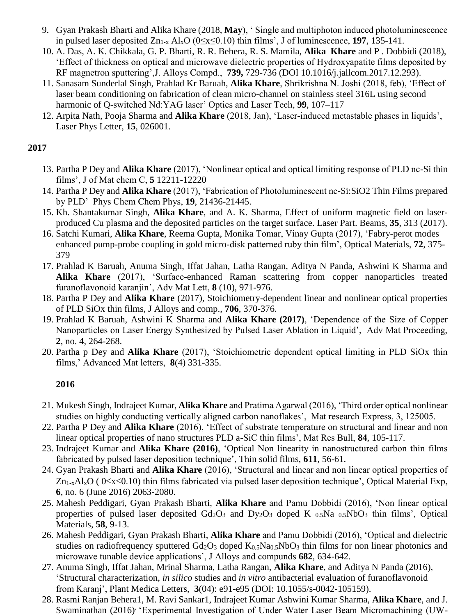- 9. Gyan Prakash Bharti and Alika Khare (2018, **May**), ' Single and multiphoton induced photoluminescence in pulsed laser deposited Zn1-x AlxO (0≤x≤0.10) thin films', J of luminescence, **197**, 135-141.
- 10. A. Das, A. K. Chikkala, G. P. Bharti, R. R. Behera, R. S. Mamila, **Alika Khare** and P . Dobbidi (2018), 'Effect of thickness on optical and microwave dielectric properties of Hydroxyapatite films deposited by RF magnetron sputtering',J. Alloys Compd., **739,** 729-736 (DOI 10.1016/j.jallcom.2017.12.293).
- 11. Sanasam Sunderlal Singh, Prahlad Kr Baruah, **Alika Khare**, Shrikrishna N. Joshi (2018, feb), 'Effect of laser beam conditioning on fabrication of clean micro-channel on stainless steel 316L using second harmonic of Q-switched Nd:YAG laser' Optics and Laser Tech, **99**, 107–117
- 12. Arpita Nath, Pooja Sharma and **Alika Khare** (2018, Jan), 'Laser-induced metastable phases in liquids', Laser Phys Letter, **15**, 026001.

- 13. Partha P Dey and **Alika Khare** (2017), 'Nonlinear optical and optical limiting response of PLD nc-Si thin films', J of Mat chem C, **5** 12211-12220
- 14. Partha P Dey and **Alika Khare** (2017), 'Fabrication of Photoluminescent nc-Si:SiO2 Thin Films prepared by PLD' Phys Chem Chem Phys, **19**, 21436-21445.
- 15. Kh. Shantakumar Singh, **Alika Khare**, and A. K. Sharma, Effect of uniform magnetic field on laserproduced Cu plasma and the deposited particles on the target surface. Laser Part. Beams, **35**, 313 (2017).
- 16. Satchi Kumari, **Alika Khare**, Reema Gupta, Monika Tomar, Vinay Gupta (2017), 'Fabry-perot modes enhanced pump-probe coupling in gold micro-disk patterned ruby thin film', Optical Materials, **72**, 375- 379
- 17. Prahlad K Baruah, Anuma Singh, Iffat Jahan, Latha Rangan, Aditya N Panda, Ashwini K Sharma and **Alika Khare** (2017), 'Surface-enhanced Raman scattering from copper nanoparticles treated furanoflavonoid karanjin', Adv Mat Lett, **8** (10), 971-976.
- 18. Partha P Dey and **Alika Khare** (2017), Stoichiometry-dependent linear and nonlinear optical properties of PLD SiOx thin films, J Alloys and comp., **706**, 370-376.
- 19. Prahlad K Baruah, Ashwini K Sharma and **Alika Khare (2017)**, 'Dependence of the Size of Copper Nanoparticles on Laser Energy Synthesized by Pulsed Laser Ablation in Liquid', Adv Mat Proceeding, **2**, no. 4, 264-268.
- 20. Partha p Dey and **Alika Khare** (2017), 'Stoichiometric dependent optical limiting in PLD SiOx thin films,' Advanced Mat letters, **8**(4) 331-335.

- 21. Mukesh Singh, Indrajeet Kumar, **Alika Khare** and Pratima Agarwal (2016), 'Third order optical nonlinear studies on highly conducting vertically aligned carbon nanoflakes', Mat research Express, 3, 125005.
- 22. Partha P Dey and **Alika Khare** (2016), 'Effect of substrate temperature on structural and linear and non linear optical properties of nano structures PLD a-SiC thin films', Mat Res Bull, **84**, 105-117.
- 23. Indrajeet Kumar and **Alika Khare (2016)**, 'Optical Non linearity in nanostructured carbon thin films fabricated by pulsed laser deposition technique', Thin solid films, **611**, 56-61.
- 24. Gyan Prakash Bharti and **Alika Khare** (2016), 'Structural and linear and non linear optical properties of  $Zn_{1-x}Al_xO$  (  $0 \le x \le 0.10$ ) thin films fabricated via pulsed laser deposition technique', Optical Material Exp, **6**, no. 6 (June 2016) 2063-2080.
- 25. Mahesh Peddigari, Gyan Prakash Bharti, **Alika Khare** and Pamu Dobbidi (2016), 'Non linear optical properties of pulsed laser deposited  $Gd_2O_3$  and  $Dy_2O_3$  doped K  $_{0.5}Na$   $_{0.5}NbO_3$  thin films', Optical Materials, **58**, 9-13.
- 26. Mahesh Peddigari, Gyan Prakash Bharti, **Alika Khare** and Pamu Dobbidi (2016), 'Optical and dielectric studies on radiofrequency sputtered Gd<sub>2</sub>O<sub>3</sub> doped K<sub>0.5</sub>Na<sub>0.5</sub>NbO<sub>3</sub> thin films for non linear photonics and microwave tunable device applications', J Alloys and compunds **682**, 634-642.
- 27. Anuma Singh, Iffat Jahan, Mrinal Sharma, Latha Rangan, **Alika Khare**, and Aditya N Panda (2016), 'Structural characterization, *in silico* studies and *in vitro* antibacterial evaluation of furanoflavonoid from Karanj', Plant Medica Letters, **3**(04): e91-e95 (DOI: 10.1055/s-0042-105159).
- 28. Rasmi Ranjan Behera1, M. Ravi Sankar1, Indrajeet Kumar Ashwini Kumar Sharma, **Alika Khare**, and J. Swaminathan (2016)<sup>, '</sup>Experimental Investigation of Under Water Laser Beam Micromachining (UW-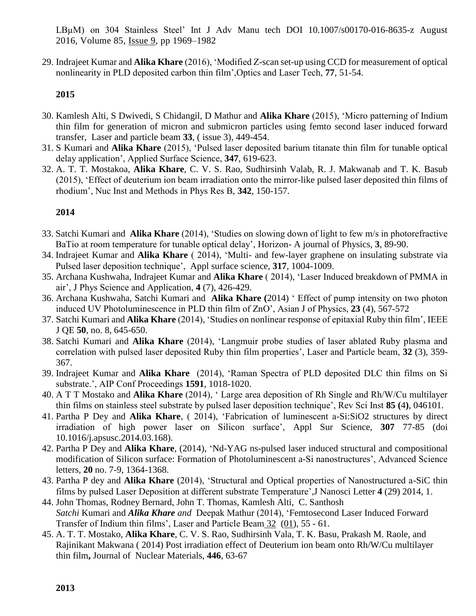LBµM) on 304 Stainless Steel' Int J Adv Manu tech DOI 10.1007/s00170-016-8635-z August 2016, Volume 85, [Issue](http://link.springer.com/journal/170/85/9/page/1) 9, pp 1969–1982

29. Indrajeet Kumar and **Alika Khare** (2016), 'Modified Z-scan set-up using CCD for measurement of optical nonlinearity in PLD deposited carbon thin film',Optics and Laser Tech, **77**, 51-54.

#### **2015**

- 30. Kamlesh Alti, S Dwivedi, S Chidangil, D Mathur and **Alika Khare** (2015), 'Micro patterning of Indium thin film for generation of micron and submicron particles using femto second laser induced forward transfer, Laser and particle beam **33**, ( issue 3), 449-454.
- 31. S Kumari and **Alika Khare** (2015), 'Pulsed laser deposited barium titanate thin film for tunable optical delay application', Applied Surface Science, **347**, 619-623.
- 32. A. T. T. Mostakoa, **Alika Khare**, C. V. S. Rao, Sudhirsinh Valab, R. J. Makwanab and T. K. Basub (2015), 'Effect of deuterium ion beam irradiation onto the mirror-like pulsed laser deposited thin films of rhodium', Nuc Inst and Methods in Phys Res B, **342**, 150-157.

- 33. Satchi Kumari and **Alika Khare** (2014), 'Studies on slowing down of light to few m/s in photorefractive BaTio at room temperature for tunable optical delay', Horizon- A journal of Physics, **3**, 89-90.
- 34. Indrajeet Kumar and **Alika Khare** ( 2014), 'Multi- and few-layer graphene on insulating substrate via Pulsed laser deposition technique', Appl surface science, **317**, 1004-1009.
- 35. Archana Kushwaha, Indrajeet Kumar and **Alika Khare** ( 2014), 'Laser Induced breakdown of PMMA in air', J Phys Science and Application, **4** (7), 426-429.
- 36. Archana Kushwaha, Satchi Kumari and **Alika Khare (**2014) ' Effect of pump intensity on two photon induced UV Photoluminescence in PLD thin film of ZnO', Asian J of Physics, **23** (4), 567-572
- 37. Satchi Kumari and **Alika Khare** (2014), 'Studies on nonlinear response of epitaxial Ruby thin film', IEEE J QE **50**, no. 8, 645-650.
- 38. Satchi Kumari and **Alika Khare** (2014), 'Langmuir probe studies of laser ablated Ruby plasma and correlation with pulsed laser deposited Ruby thin film properties', Laser and Particle beam, **32** (3), 359- 367.
- 39. Indrajeet Kumar and **Alika Khare** (2014), 'Raman Spectra of PLD deposited DLC thin films on Si substrate.', AIP Conf Proceedings **1591**, 1018-1020.
- 40. A T T Mostako and **Alika Khare** (2014), ' Large area deposition of Rh Single and Rh/W/Cu multilayer thin films on stainless steel substrate by pulsed laser deposition technique', Rev Sci Inst **85 (**4**)**, 046101.
- 41. Partha P Dey and **Alika Khare**, ( 2014), 'Fabrication of luminescent a-Si:SiO2 structures by direct irradiation of high power laser on Silicon surface', Appl Sur Science, **307** 77-85 (doi 10.1016/j.apsusc.2014.03.168).
- 42. Partha P Dey and **Alika Khare**, (2014), 'Nd-YAG ns-pulsed laser induced structural and compositional modification of Silicon surface: Formation of Photoluminescent a-Si nanostructures', Advanced Science letters, **20** no. 7-9, 1364-1368.
- 43. Partha P dey and **Alika Khare** (2014), 'Structural and Optical properties of Nanostructured a-SiC thin films by pulsed Laser Deposition at different substrate Temperature',J Nanosci Letter **4** (29) 2014, 1.
- 44. John Thomas, Rodney Bernard, John T. Thomas, Kamlesh Alti, C. Santhosh *Satchi* Kumari and *Alika Khare and* Deepak Mathur (2014), 'Femtosecond Laser Induced Forward Transfer of Indium thin films', Laser and Particle Beam [32](http://journals.cambridge.org/action/displayBackIssues?jid=LPB&volumeId=32) [\(01\)](http://journals.cambridge.org/action/displayIssue?jid=LPB&volumeId=32&seriesId=0&issueId=01), 55 - 61.
- 45. A. T. T. Mostako, **Alika Khare**, C. V. S. Rao, Sudhirsinh Vala, T. K. Basu, Prakash M. Raole, and Rajinikant Makwana ( 2014) Post irradiation effect of Deuterium ion beam onto Rh/W/Cu multilayer thin film**,** Journal of Nuclear Materials, **446**, 63-67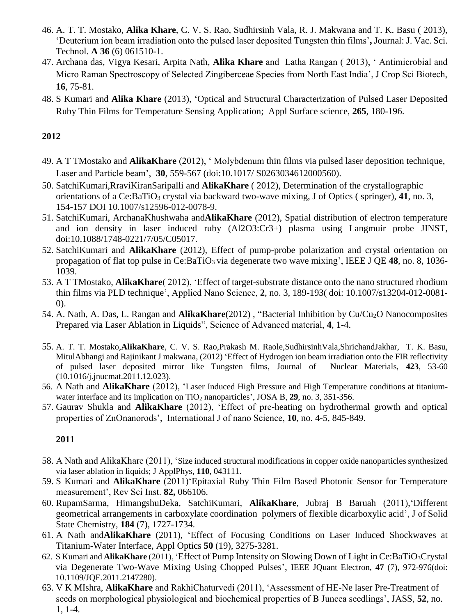- 46. A. T. T. Mostako, **Alika Khare**, C. V. S. Rao, Sudhirsinh Vala, R. J. Makwana and T. K. Basu ( 2013), 'Deuterium ion beam irradiation onto the pulsed laser deposited Tungsten thin films'**,** Journal: J. Vac. Sci. Technol. **A 36** (6) 061510-1.
- 47. Archana das, Vigya Kesari, Arpita Nath, **Alika Khare** and Latha Rangan ( 2013), ' Antimicrobial and Micro Raman Spectroscopy of Selected Zingiberceae Species from North East India', J Crop Sci Biotech, **16**, 75-81.
- 48. S Kumari and **Alika Khare** (2013), 'Optical and Structural Characterization of Pulsed Laser Deposited Ruby Thin Films for Temperature Sensing Application; Appl Surface science, **265**, 180-196.

- 49. A T TMostako and **AlikaKhare** (2012), ' Molybdenum thin films via pulsed laser deposition technique, Laser and Particle beam', **30**, 559-567 (doi:10.1017/ S0263034612000560).
- 50. SatchiKumari,RraviKiranSaripalli and **AlikaKhare** ( 2012), Determination of the crystallographic orientations of a Ce:BaTiO<sub>3</sub> crystal via backward two-wave mixing, J of Optics (springer), 41, no. 3, 154-157 DOI 10.1007/s12596-012-0078-9.
- 51. SatchiKumari, ArchanaKhushwaha and**AlikaKhare** (2012), Spatial distribution of electron temperature and ion density in laser induced ruby (Al2O3:Cr3+) plasma using Langmuir probe JINST, doi:10.1088/1748-0221/7/05/C05017.
- 52. SatchiKumari and **AlikaKhare** (2012), Effect of pump-probe polarization and crystal orientation on propagation of flat top pulse in Ce:BaTiO<sub>3</sub> via degenerate two wave mixing', IEEE J QE 48, no. 8, 1036-1039.
- 53. A T TMostako, **AlikaKhare**( 2012), 'Effect of target-substrate distance onto the nano structured rhodium thin films via PLD technique', Applied Nano Science, **2**, no. 3, 189-193( doi: 10.1007/s13204-012-0081- 0).
- 54. A. Nath, A. Das, L. Rangan and **AlikaKhare**(2012) , "Bacterial Inhibition by Cu/Cu2O Nanocomposites Prepared via Laser Ablation in Liquids", Science of Advanced material, **4**, 1-4.
- 55. A. T. T. Mostako,**AlikaKhare**, C. V. S. Rao,Prakash M. Raole,SudhirsinhVala,ShrichandJakhar, T. K. Basu, MitulAbhangi and Rajinikant J makwana, (2012) 'Effect of Hydrogen ion beam irradiation onto the FIR reflectivity of pulsed laser deposited mirror like Tungsten films, Journal of Nuclear Materials, **423**, 53-60 (10.1016/j.jnucmat.2011.12.023).
- 56. A Nath and **AlikaKhare** (2012), 'Laser Induced High Pressure and High Temperature conditions at titaniumwater interface and its implication on TiO<sub>2</sub> nanoparticles', JOSA B, 29, no. 3, 351-356.
- 57. Gaurav Shukla and **AlikaKhare** (2012), 'Effect of pre-heating on hydrothermal growth and optical properties of ZnOnanorods', International J of nano Science, **10**, no. 4-5, 845-849.

- 58. A Nath and AlikaKhare (2011), 'Size induced structural modifications in copper oxide nanoparticles synthesized via laser ablation in liquids; J ApplPhys, **110**, 043111.
- 59. S Kumari and **AlikaKhare** (2011)'Epitaxial Ruby Thin Film Based Photonic Sensor for Temperature measurement', Rev Sci Inst. **82,** 066106.
- 60. RupamSarma, HimangshuDeka, SatchiKumari, **AlikaKhare**, Jubraj B Baruah (2011),'Different geometrical arrangements in carboxylate coordination polymers of flexible dicarboxylic acid', J of Solid State Chemistry, **184** (7), 1727-1734.
- 61. A Nath and**AlikaKhare** (2011), 'Effect of Focusing Conditions on Laser Induced Shockwaves at Titanium-Water Interface, Appl Optics **50** (19), 3275-3281.
- 62. S Kumari and **AlikaKhare** (2011), 'Effect of Pump Intensity on Slowing Down of Light in Ce:BaTiO3Crystal via Degenerate Two-Wave Mixing Using Chopped Pulses', IEEE JQuant Electron, **47** (7), 972-976(doi: 10.1109/JQE.2011.2147280).
- 63. V K MIshra, **AlikaKhare** and RakhiChaturvedi (2011), 'Assessment of HE-Ne laser Pre-Treatment of seeds on morphological physiological and biochemical properties of B Juncea seedlings', JASS, **52**, no. 1, 1-4.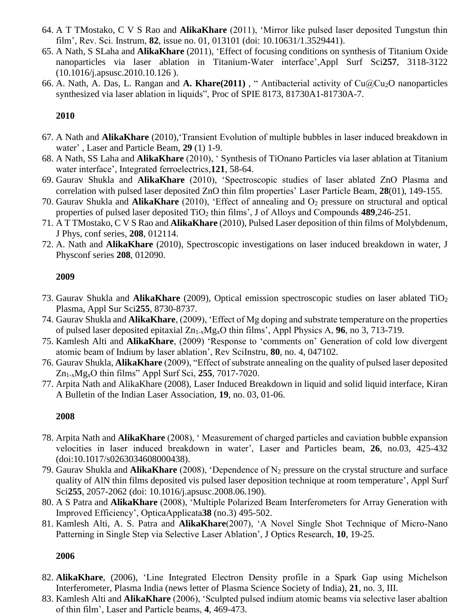- 64. A T TMostako, C V S Rao and **AlikaKhare** (2011), 'Mirror like pulsed laser deposited Tungstun thin film', Rev. Sci. Instrum, **82**, issue no. 01, 013101 (doi: 10.10631/1.3529441).
- 65. A Nath, S SLaha and **AlikaKhare** (2011), 'Effect of focusing conditions on synthesis of Titanium Oxide nanoparticles via laser ablation in Titanium-Water interface',Appl Surf Sci**257**, 3118-3122 (10.1016/j.apsusc.2010.10.126 ).
- 66. A. Nath, A. Das, L. Rangan and **A. Khare(2011)** , " Antibacterial activity of Cu@Cu2O nanoparticles synthesized via laser ablation in liquids", Proc of SPIE 8173, 81730A1-81730A-7.

- 67. A Nath and **AlikaKhare** (2010),'Transient Evolution of multiple bubbles in laser induced breakdown in water' , Laser and Particle Beam, **29** (1) 1-9.
- 68. A Nath, SS Laha and **AlikaKhare** (2010), ' Synthesis of TiOnano Particles via laser ablation at Titanium water interface', Integrated ferroelectrics,**121**, 58-64.
- 69. Gaurav Shukla and **AlikaKhare** (2010), 'Spectroscopic studies of laser ablated ZnO Plasma and correlation with pulsed laser deposited ZnO thin film properties' Laser Particle Beam, **28**(01), 149-155.
- 70. Gaurav Shukla and **AlikaKhare** (2010), 'Effect of annealing and O<sup>2</sup> pressure on structural and optical properties of pulsed laser deposited TiO<sup>2</sup> thin films', J of Alloys and Compounds **489**,246-251.
- 71. A T TMostako, C V S Rao and **AlikaKhare** (2010), Pulsed Laser deposition of thin films of Molybdenum, J Phys, conf series, **208**, 012114.
- 72. A. Nath and **AlikaKhare** (2010), Spectroscopic investigations on laser induced breakdown in water, J Physconf series **208**, 012090.

#### **2009**

- 73. Gaurav Shukla and **AlikaKhare** (2009), Optical emission spectroscopic studies on laser ablated TiO<sup>2</sup> Plasma, Appl Sur Sci**255**, 8730-8737.
- 74. Gaurav Shukla and **AlikaKhare**, (2009), 'Effect of Mg doping and substrate temperature on the properties of pulsed laser deposited epitaxial Zn1-xMgxO thin films', Appl Physics A, **96**, no 3, 713-719.
- 75. Kamlesh Alti and **AlikaKhare**, (2009) 'Response to 'comments on' Generation of cold low divergent atomic beam of Indium by laser ablation', Rev SciInstru, **80**, no. 4, 047102.
- 76. Gaurav Shukla, **AlikaKhare** (2009), "Effect of substrate annealing on the quality of pulsed laser deposited Zn1-xMgxO thin films" Appl Surf Sci, **255**, 7017-7020.
- 77. Arpita Nath and AlikaKhare (2008), Laser Induced Breakdown in liquid and solid liquid interface, Kiran A Bulletin of the Indian Laser Association, **19**, no. 03, 01-06.

#### **2008**

- 78. Arpita Nath and **AlikaKhare** (2008), ' Measurement of charged particles and caviation bubble expansion velocities in laser induced breakdown in water', Laser and Particles beam, **26**, no.03, 425-432 (doi:10.1017/s0263034608000438).
- 79. Gaurav Shukla and **AlikaKhare** (2008), 'Dependence of N<sup>2</sup> pressure on the crystal structure and surface quality of AlN thin films deposited vis pulsed laser deposition technique at room temperature', Appl Surf Sci**255**, 2057-2062 (doi: 10.1016/j.apsusc.2008.06.190).
- 80. A S Patra and **AlikaKhare** (2008), 'Multiple Polarized Beam Interferometers for Array Generation with Improved Efficiency', OpticaApplicata**38** (no.3) 495-502.
- 81. Kamlesh Alti, A. S. Patra and **AlikaKhare**(2007), 'A Novel Single Shot Technique of Micro-Nano Patterning in Single Step via Selective Laser Ablation', J Optics Research, **10**, 19-25.

- 82. **AlikaKhare**, (2006), 'Line Integrated Electron Density profile in a Spark Gap using Michelson Interferometer, Plasma India (news letter of Plasma Science Society of India), **21**, no. 3, III.
- 83. Kamlesh Alti and **AlikaKhare** (2006), 'Sculpted pulsed indium atomic beams via selective laser abaltion of thin film', Laser and Particle beams, **4**, 469-473.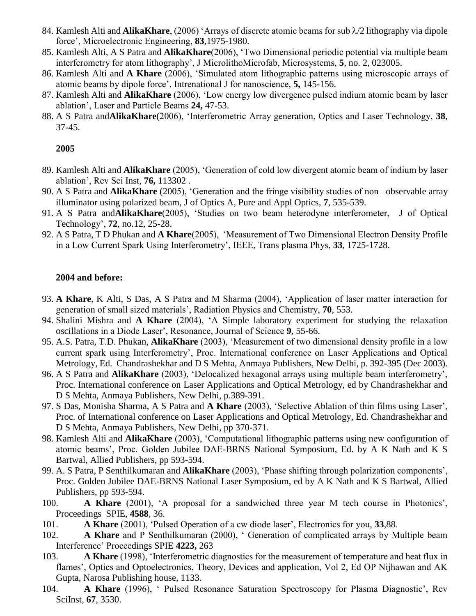- 84. Kamlesh Alti and **AlikaKhare**, (2006) 'Arrays of discrete atomic beams for sub  $\lambda/2$  lithography via dipole force', Microelectronic Engineering, **83**,1975-1980.
- 85. Kamlesh Alti, A S Patra and **AlikaKhare**(2006), 'Two Dimensional periodic potential via multiple beam interferometry for atom lithography', J MicrolithoMicrofab, Microsystems, **5**, no. 2, 023005.
- 86. Kamlesh Alti and **A Khare** (2006), 'Simulated atom lithographic patterns using microscopic arrays of atomic beams by dipole force', Intrenational J for nanoscience, **5,** 145-156.
- 87. Kamlesh Alti and **AlikaKhare** (2006), 'Low energy low divergence pulsed indium atomic beam by laser ablation', Laser and Particle Beams **24,** 47-53.
- 88. A S Patra and**AlikaKhare**(2006), 'Interferometric Array generation, Optics and Laser Technology, **38**, 37-45.

- 89. Kamlesh Alti and **AlikaKhare** (2005), 'Generation of cold low divergent atomic beam of indium by laser ablation', Rev Sci Inst, **76,** 113302 .
- 90. A S Patra and **AlikaKhare** (2005), 'Generation and the fringe visibility studies of non –observable array illuminator using polarized beam, J of Optics A, Pure and Appl Optics, **7**, 535-539.
- 91. A S Patra and**AlikaKhare**(2005), 'Studies on two beam heterodyne interferometer, J of Optical Technology', **72**, no.12, 25-28.
- 92. A S Patra, T D Phukan and **A Khare**(2005), 'Measurement of Two Dimensional Electron Density Profile in a Low Current Spark Using Interferometry', IEEE, Trans plasma Phys, **33**, 1725-1728.

#### **2004 and before:**

- 93. **A Khare**, K Alti, S Das, A S Patra and M Sharma (2004), 'Application of laser matter interaction for generation of small sized materials', Radiation Physics and Chemistry, **70**, 553.
- 94. Shalini Mishra and **A Khare** (2004), 'A Simple laboratory experiment for studying the relaxation oscillations in a Diode Laser', Resonance, Journal of Science **9**, 55-66.
- 95. A.S. Patra, T.D. Phukan, **AlikaKhare** (2003), 'Measurement of two dimensional density profile in a low current spark using Interferometry', Proc. International conference on Laser Applications and Optical Metrology, Ed. Chandrashekhar and D S Mehta, Anmaya Publishers, New Delhi, p. 392-395 (Dec 2003).
- 96. A S Patra and **AlikaKhare** (2003), 'Delocalized hexagonal arrays using multiple beam interferometry', Proc. International conference on Laser Applications and Optical Metrology, ed by Chandrashekhar and D S Mehta, Anmaya Publishers, New Delhi, p.389-391.
- 97. S Das, Monisha Sharma, A S Patra and **A Khare** (2003), 'Selective Ablation of thin films using Laser', Proc. of International conference on Laser Applications and Optical Metrology, Ed. Chandrashekhar and D S Mehta, Anmaya Publishers, New Delhi, pp 370-371.
- 98. Kamlesh Alti and **AlikaKhare** (2003), 'Computational lithographic patterns using new configuration of atomic beams', Proc. Golden Jubilee DAE-BRNS National Symposium, Ed. by A K Nath and K S Bartwal, Allied Publishers, pp 593-594.
- 99. A. S Patra, P Senthilkumaran and **AlikaKhare** (2003), 'Phase shifting through polarization components', Proc. Golden Jubilee DAE-BRNS National Laser Symposium, ed by A K Nath and K S Bartwal, Allied Publishers, pp 593-594.
- 100. **A Khare** (2001), 'A proposal for a sandwiched three year M tech course in Photonics', Proceedings SPIE, **4588**, 36.
- 101. **A Khare** (2001), 'Pulsed Operation of a cw diode laser', Electronics for you, **33**,88.
- 102. **A Khare** and P Senthilkumaran (2000), ' Generation of complicated arrays by Multiple beam Interference' Proceedings SPIE **4223,** 263
- 103. **A Khare** (1998), 'Interferometric diagnostics for the measurement of temperature and heat flux in flames', Optics and Optoelectronics, Theory, Devices and application, Vol 2, Ed OP Nijhawan and AK Gupta, Narosa Publishing house, 1133.
- 104. **A Khare** (1996), ' Pulsed Resonance Saturation Spectroscopy for Plasma Diagnostic', Rev SciInst, **67**, 3530.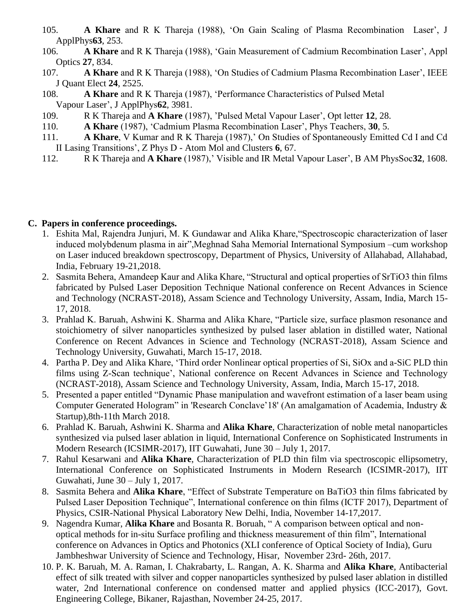- 105. **A Khare** and R K Thareja (1988), 'On Gain Scaling of Plasma Recombination Laser', J ApplPhys**63**, 253.
- 106. **A Khare** and R K Thareja (1988), 'Gain Measurement of Cadmium Recombination Laser', Appl Optics **27**, 834.
- 107. **A Khare** and R K Thareja (1988), 'On Studies of Cadmium Plasma Recombination Laser', IEEE J Quant Elect **24**, 2525.
- 108. **A Khare** and R K Thareja (1987), 'Performance Characteristics of Pulsed Metal Vapour Laser', J ApplPhys**62**, 3981.
- 109. R K Thareja and **A Khare** (1987), 'Pulsed Metal Vapour Laser', Opt letter **12**, 28.
- 110. **A Khare** (1987), 'Cadmium Plasma Recombination Laser', Phys Teachers, **30**, 5.
- 111. **A Khare**, V Kumar and R K Thareja (1987),' On Studies of Spontaneously Emitted Cd I and Cd II Lasing Transitions', Z Phys D - Atom Mol and Clusters **6**, 67.
- 112. R K Thareja and **A Khare** (1987),' Visible and IR Metal Vapour Laser', B AM PhysSoc**32**, 1608.

## **C. Papers in conference proceedings.**

- 1. Eshita Mal, Rajendra Junjuri, M. K Gundawar and Alika Khare,"Spectroscopic characterization of laser induced molybdenum plasma in air",Meghnad Saha Memorial International Symposium –cum workshop on Laser induced breakdown spectroscopy, Department of Physics, University of Allahabad, Allahabad, India, February 19-21,2018.
- 2. Sasmita Behera, Amandeep Kaur and Alika Khare, "Structural and optical properties of SrTiO3 thin films fabricated by Pulsed Laser Deposition Technique National conference on Recent Advances in Science and Technology (NCRAST-2018), Assam Science and Technology University, Assam, India, March 15- 17, 2018.
- 3. Prahlad K. Baruah, Ashwini K. Sharma and Alika Khare, "Particle size, surface plasmon resonance and stoichiometry of silver nanoparticles synthesized by pulsed laser ablation in distilled water, National Conference on Recent Advances in Science and Technology (NCRAST-2018), Assam Science and Technology University, Guwahati, March 15-17, 2018.
- 4. Partha P. Dey and Alika Khare, 'Third order Nonlinear optical properties of Si, SiOx and a-SiC PLD thin films using Z-Scan technique', National conference on Recent Advances in Science and Technology (NCRAST-2018), Assam Science and Technology University, Assam, India, March 15-17, 2018.
- 5. Presented a paper entitled "Dynamic Phase manipulation and wavefront estimation of a laser beam using Computer Generated Hologram" in 'Research Conclave'18' (An amalgamation of Academia, Industry & Startup),8th-11th March 2018.
- 6. Prahlad K. Baruah, Ashwini K. Sharma and **Alika Khare**, Characterization of noble metal nanoparticles synthesized via pulsed laser ablation in liquid, International Conference on Sophisticated Instruments in Modern Research (ICSIMR-2017), IIT Guwahati, June 30 – July 1, 2017.
- 7. Rahul Kesarwani and **Alika Khare**, Characterization of PLD thin film via spectroscopic ellipsometry, International Conference on Sophisticated Instruments in Modern Research (ICSIMR-2017), IIT Guwahati, June 30 – July 1, 2017.
- 8. Sasmita Behera and **Alika Khare**, "Effect of Substrate Temperature on BaTiO3 thin films fabricated by Pulsed Laser Deposition Technique", International conference on thin films (ICTF 2017), Department of Physics, CSIR-National Physical Laboratory New Delhi, India, November 14-17,2017.
- 9. Nagendra Kumar, **Alika Khare** and Bosanta R. Boruah, " A comparison between optical and nonoptical methods for in-situ Surface profiling and thickness measurement of thin film", International conference on Advances in Optics and Photonics (XLI conference of Optical Society of India), Guru Jambheshwar University of Science and Technology, Hisar, November 23rd- 26th, 2017.
- 10. P. K. Baruah, M. A. Raman, I. Chakrabarty, L. Rangan, A. K. Sharma and **Alika Khare**, Antibacterial effect of silk treated with silver and copper nanoparticles synthesized by pulsed laser ablation in distilled water, 2nd International conference on condensed matter and applied physics (ICC-2017), Govt. Engineering College, Bikaner, Rajasthan, November 24-25, 2017.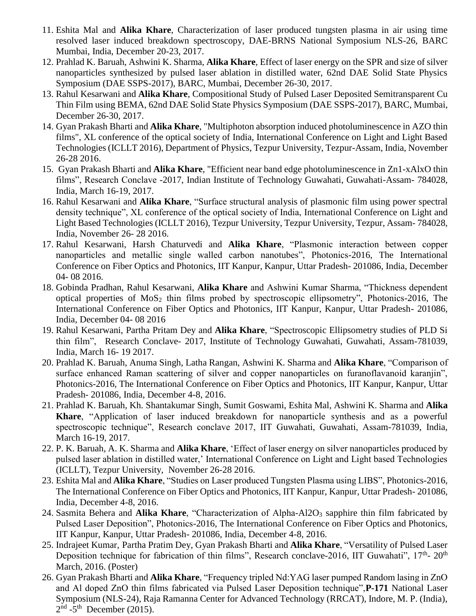- 11. Eshita Mal and **Alika Khare**, Characterization of laser produced tungsten plasma in air using time resolved laser induced breakdown spectroscopy, DAE-BRNS National Symposium NLS-26, BARC Mumbai, India, December 20-23, 2017.
- 12. Prahlad K. Baruah, Ashwini K. Sharma, **Alika Khare**, Effect of laser energy on the SPR and size of silver nanoparticles synthesized by pulsed laser ablation in distilled water, 62nd DAE Solid State Physics Symposium (DAE SSPS-2017), BARC, Mumbai, December 26-30, 2017.
- 13. Rahul Kesarwani and **Alika Khare**, Compositional Study of Pulsed Laser Deposited Semitransparent Cu Thin Film using BEMA, 62nd DAE Solid State Physics Symposium (DAE SSPS-2017), BARC, Mumbai, December 26-30, 2017.
- 14. Gyan Prakash Bharti and **Alika Khare**, "Multiphoton absorption induced photoluminescence in AZO thin films", XL conference of the optical society of India, International Conference on Light and Light Based Technologies (ICLLT 2016), Department of Physics, Tezpur University, Tezpur-Assam, India, November 26-28 2016.
- 15. Gyan Prakash Bharti and **Alika Khare**, "Efficient near band edge photoluminescence in Zn1-xAlxO thin films", Research Conclave -2017, Indian Institute of Technology Guwahati, Guwahati-Assam- 784028, India, March 16-19, 2017.
- 16. Rahul Kesarwani and **Alika Khare**, "Surface structural analysis of plasmonic film using power spectral density technique", XL conference of the optical society of India, International Conference on Light and Light Based Technologies (ICLLT 2016), Tezpur University, Tezpur University, Tezpur, Assam- 784028, India, November 26- 28 2016.
- 17. Rahul Kesarwani, Harsh Chaturvedi and **Alika Khare**, "Plasmonic interaction between copper nanoparticles and metallic single walled carbon nanotubes", Photonics-2016, The International Conference on Fiber Optics and Photonics, IIT Kanpur, Kanpur, Uttar Pradesh- 201086, India, December 04- 08 2016.
- 18. Gobinda Pradhan, Rahul Kesarwani, **Alika Khare** and Ashwini Kumar Sharma, "Thickness dependent optical properties of  $MoS<sub>2</sub>$  thin films probed by spectroscopic ellipsometry", Photonics-2016, The International Conference on Fiber Optics and Photonics, IIT Kanpur, Kanpur, Uttar Pradesh- 201086, India, December 04- 08 2016
- 19. Rahul Kesarwani, Partha Pritam Dey and **Alika Khare**, "Spectroscopic Ellipsometry studies of PLD Si thin film", Research Conclave- 2017, Institute of Technology Guwahati, Guwahati, Assam-781039, India, March 16- 19 2017.
- 20. Prahlad K. Baruah, Anuma Singh, Latha Rangan, Ashwini K. Sharma and **Alika Khare**, "Comparison of surface enhanced Raman scattering of silver and copper nanoparticles on furanoflavanoid karanjin", Photonics-2016, The International Conference on Fiber Optics and Photonics, IIT Kanpur, Kanpur, Uttar Pradesh- 201086, India, December 4-8, 2016.
- 21. Prahlad K. Baruah, Kh. Shantakumar Singh, Sumit Goswami, Eshita Mal, Ashwini K. Sharma and **Alika Khare**, "Application of laser induced breakdown for nanoparticle synthesis and as a powerful spectroscopic technique", Research conclave 2017, IIT Guwahati, Guwahati, Assam-781039, India, March 16-19, 2017.
- 22. P. K. Baruah, A. K. Sharma and **Alika Khare**, 'Effect of laser energy on silver nanoparticles produced by pulsed laser ablation in distilled water,' International Conference on Light and Light based Technologies (ICLLT), Tezpur University, November 26-28 2016.
- 23. Eshita Mal and **Alika Khare**, "Studies on Laser produced Tungsten Plasma using LIBS", Photonics-2016, The International Conference on Fiber Optics and Photonics, IIT Kanpur, Kanpur, Uttar Pradesh- 201086, India, December 4-8, 2016.
- 24. Sasmita Behera and Alika Khare, "Characterization of Alpha-Al2O<sub>3</sub> sapphire thin film fabricated by Pulsed Laser Deposition", Photonics-2016, The International Conference on Fiber Optics and Photonics, IIT Kanpur, Kanpur, Uttar Pradesh- 201086, India, December 4-8, 2016.
- 25. Indrajeet Kumar, Partha Pratim Dey, Gyan Prakash Bharti and **Alika Khare**, "Versatility of Pulsed Laser Deposition technique for fabrication of thin films", Research conclave-2016, IIT Guwahati", 17<sup>th</sup>- 20<sup>th</sup> March, 2016. (Poster)
- 26. Gyan Prakash Bharti and **Alika Khare**, "Frequency tripled Nd:YAG laser pumped Random lasing in ZnO and Al doped ZnO thin films fabricated via Pulsed Laser Deposition technique",**P-171** National Laser Symposium (NLS-24), Raja Ramanna Center for Advanced Technology (RRCAT), Indore, M. P. (India),  $2<sup>nd</sup> - 5<sup>th</sup>$  December (2015).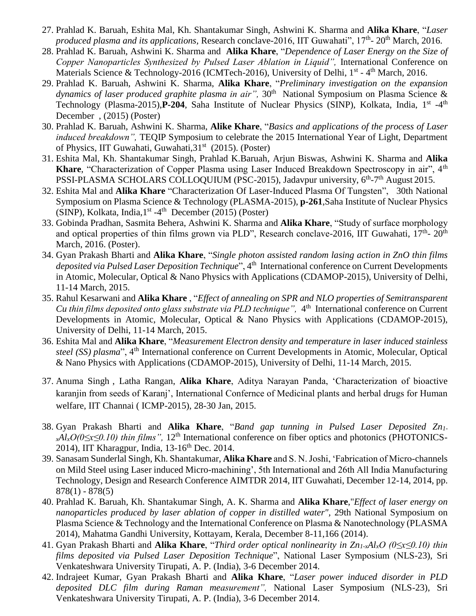- 27. Prahlad K. Baruah, Eshita Mal, Kh. Shantakumar Singh, Ashwini K. Sharma and **Alika Khare**, "*Laser produced plasma and its applications*, Research conclave-2016, IIT Guwahati", 17<sup>th</sup>- 20<sup>th</sup> March, 2016.
- 28. Prahlad K. Baruah, Ashwini K. Sharma and **Alika Khare**, "*Dependence of Laser Energy on the Size of Copper Nanoparticles Synthesized by Pulsed Laser Ablation in Liquid",* International Conference on Materials Science & Technology-2016 (ICMTech-2016), University of Delhi, 1<sup>st</sup> - 4<sup>th</sup> March, 2016.
- 29. Prahlad K. Baruah, Ashwini K. Sharma, **Alika Khare**, "*Preliminary investigation on the expansion*  dynamics of laser produced graphite plasma in air", 30<sup>th</sup> National Symposium on Plasma Science & Technology (Plasma-2015), P-204, Saha Institute of Nuclear Physics (SINP), Kolkata, India, 1<sup>st</sup> -4<sup>th</sup> December , (2015) (Poster)
- 30. Prahlad K. Baruah, Ashwini K. Sharma, **Alike Khare**, "*Basics and applications of the process of Laser induced breakdown",* TEQIP Symposium to celebrate the 2015 International Year of Light, Department of Physics, IIT Guwahati, Guwahati, 31<sup>st</sup> (2015). (Poster)
- 31. Eshita Mal, Kh. Shantakumar Singh, Prahlad K.Baruah, Arjun Biswas, Ashwini K. Sharma and **Alika**  Khare, "Characterization of Copper Plasma using Laser Induced Breakdown Spectroscopy in air", 4<sup>th</sup> PSSI-PLASMA SCHOLARS COLLOQUIUM (PSC-2015), Jadavpur university, 6<sup>th</sup>-7<sup>th</sup> August 2015.
- 32. Eshita Mal and **Alika Khare** "Characterization Of Laser-Induced Plasma Of Tungsten",30th National Symposium on Plasma Science & Technology (PLASMA-2015), **p-261**,Saha Institute of Nuclear Physics (SINP), Kolkata, India, 1<sup>st</sup> -4<sup>th</sup> December (2015) (Poster)
- 33. Gobinda Pradhan, Sasmita Behera, Ashwini K. Sharma and **Alika Khare**, "Study of surface morphology and optical properties of thin films grown via PLD", Research conclave-2016, IIT Guwahati, 17<sup>th</sup>- 20<sup>th</sup> March, 2016. (Poster).
- 34. Gyan Prakash Bharti and **Alika Khare**, "*Single photon assisted random lasing action in ZnO thin films*  deposited via Pulsed Laser Deposition Technique", 4<sup>th</sup> International conference on Current Developments in Atomic, Molecular, Optical & Nano Physics with Applications (CDAMOP-2015), University of Delhi, 11-14 March, 2015.
- 35. Rahul Kesarwani and **Alika Khare** , "*Effect of annealing on SPR and NLO properties of Semitransparent*  Cu *thin films deposited onto glass substrate via PLD technique",* 4<sup>th</sup> International conference on Current Developments in Atomic, Molecular, Optical & Nano Physics with Applications (CDAMOP-2015), University of Delhi, 11-14 March, 2015.
- 36. Eshita Mal and **Alika Khare**, "*Measurement Electron density and temperature in laser induced stainless steel (SS) plasma*", 4<sup>th</sup> International conference on Current Developments in Atomic, Molecular, Optical & Nano Physics with Applications (CDAMOP-2015), University of Delhi, 11-14 March, 2015.
- 37. Anuma Singh , Latha Rangan, **Alika Khare**, Aditya Narayan Panda, 'Characterization of bioactive karanjin from seeds of Karanj', International Confernce of Medicinal plants and herbal drugs for Human welfare, IIT Channai ( ICMP-2015), 28-30 Jan, 2015.
- 38. Gyan Prakash Bharti and **Alika Khare**, "*Band gap tunning in Pulsed Laser Deposited Zn1 xAl*<sub>*x</sub>O*(0≤*x*≤0.10) thin films", 12<sup>th</sup> International conference on fiber optics and photonics (PHOTONICS-</sub> 2014), IIT Kharagpur, India, 13-16<sup>th</sup> Dec. 2014.
- 39. Sanasam Sunderlal Singh, Kh. Shantakumar, **Alika Khare** and S. N. Joshi, 'Fabrication of Micro-channels on Mild Steel using Laser induced Micro-machining', 5th International and 26th All India Manufacturing Technology, Design and Research Conference AIMTDR 2014, IIT Guwahati, December 12-14, 2014, pp. 878(1) - 878(5)
- 40. Prahlad K. Baruah, Kh. Shantakumar Singh, A. K. Sharma and **Alika Khare**,"*Effect of laser energy on nanoparticles produced by laser ablation of copper in distilled water",* 29th National Symposium on Plasma Science & Technology and the International Conference on Plasma & Nanotechnology (PLASMA 2014), Mahatma Gandhi University, Kottayam, Kerala, December 8-11,166 (2014).
- 41. Gyan Prakash Bharti and **Alika Khare**, "*Third order optical nonlinearity in Zn1-xAlxO (0≤x≤0.10) thin films deposited via Pulsed Laser Deposition Technique*", National Laser Symposium (NLS-23), Sri Venkateshwara University Tirupati, A. P. (India), 3-6 December 2014.
- 42. Indrajeet Kumar, Gyan Prakash Bharti and **Alika Khare**, "*Laser power induced disorder in PLD deposited DLC film during Raman measurement",* National Laser Symposium (NLS-23), Sri Venkateshwara University Tirupati, A. P. (India), 3-6 December 2014.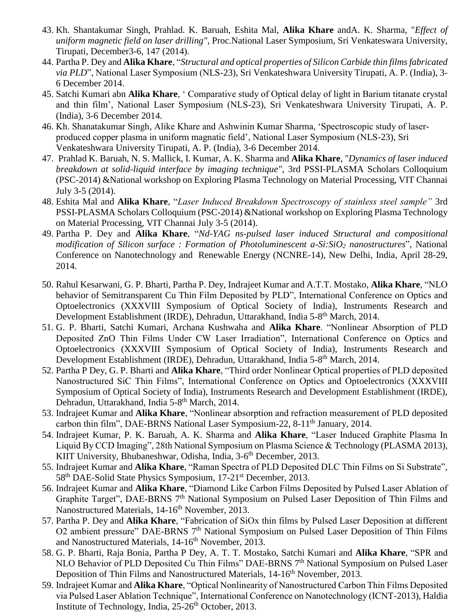- 43. Kh. Shantakumar Singh, Prahlad. K. Baruah, Eshita Mal, **Alika Khare** andA. K. Sharma, "*Effect of uniform magnetic field on laser drilling",* Proc.National Laser Symposium, Sri Venkateswara University, Tirupati, December3-6, 147 (2014).
- 44. Partha P. Dey and **Alika Khare**, "*Structural and optical properties of Silicon Carbide thin films fabricated via PLD*", National Laser Symposium (NLS-23), Sri Venkateshwara University Tirupati, A. P. (India), 3- 6 December 2014.
- 45. Satchi Kumari abn **Alika Khare**, ' Comparative study of Optical delay of light in Barium titanate crystal and thin film', National Laser Symposium (NLS-23), Sri Venkateshwara University Tirupati, A. P. (India), 3-6 December 2014.
- 46. Kh. Shanatakumar Singh, Alike Khare and Ashwinin Kumar Sharma, 'Spectroscopic study of laserproduced copper plasma in uniform magnatic field', National Laser Symposium (NLS-23), Sri Venkateshwara University Tirupati, A. P. (India), 3-6 December 2014.
- 47. Prahlad K. Baruah, N. S. Mallick, I. Kumar, A. K. Sharma and **Alika Khare**, "*Dynamics of laser induced breakdown at solid-liquid interface by imaging technique",* 3rd PSSI-PLASMA Scholars Colloquium (PSC-2014) &National workshop on Exploring Plasma Technology on Material Processing, VIT Channai July 3-5 (2014).
- 48. Eshita Mal and **Alika Khare**, "*Laser Induced Breakdown Spectroscopy of stainless steel sample"* 3rd PSSI-PLASMA Scholars Colloquium (PSC-2014) &National workshop on Exploring Plasma Technology on Material Processing, VIT Channai July 3-5 (2014).
- 49. Partha P. Dey and **Alika Khare**, "*Nd-YAG ns-pulsed laser induced Structural and compositional modification of Silicon surface : Formation of Photoluminescent a-Si:SiO<sup>2</sup> nanostructures*", National Conference on Nanotechnology and Renewable Energy (NCNRE-14), New Delhi, India, April 28-29, 2014.
- 50. Rahul Kesarwani, G. P. Bharti, Partha P. Dey, Indrajeet Kumar and A.T.T. Mostako, **Alika Khare**, "NLO behavior of Semitransparent Cu Thin Film Deposited by PLD", International Conference on Optics and Optoelectronics (XXXVIII Symposium of Optical Society of India), Instruments Research and Development Establishment (IRDE), Dehradun, Uttarakhand, India 5-8<sup>th</sup> March, 2014.
- 51. G. P. Bharti, Satchi Kumari, Archana Kushwaha and **Alika Khare**. "Nonlinear Absorption of PLD Deposited ZnO Thin Films Under CW Laser Irradiation", International Conference on Optics and Optoelectronics (XXXVIII Symposium of Optical Society of India), Instruments Research and Development Establishment (IRDE), Dehradun, Uttarakhand, India 5-8<sup>th</sup> March, 2014.
- 52. Partha P Dey, G. P. Bharti and **Alika Khare**, "Third order Nonlinear Optical properties of PLD deposited Nanostructured SiC Thin Films", International Conference on Optics and Optoelectronics (XXXVIII Symposium of Optical Society of India), Instruments Research and Development Establishment (IRDE), Dehradun, Uttarakhand, India 5-8<sup>th</sup> March, 2014.
- 53. Indrajeet Kumar and **Alika Khare**, "Nonlinear absorption and refraction measurement of PLD deposited carbon thin film", DAE-BRNS National Laser Symposium-22, 8-11<sup>th</sup> January, 2014.
- 54. Indrajeet Kumar, P. K. Baruah, A. K. Sharma and **Alika Khare**, "Laser Induced Graphite Plasma In Liquid By CCD Imaging", 28th National Symposium on Plasma Science & Technology (PLASMA 2013), KIIT University, Bhubaneshwar, Odisha, India, 3-6<sup>th</sup> December, 2013.
- 55. Indrajeet Kumar and **Alika Khare**, "Raman Spectra of PLD Deposited DLC Thin Films on Si Substrate", 58th DAE-Solid State Physics Symposium, 17-21st December, 2013.
- 56. Indrajeet Kumar and **Alika Khare**, "Diamond Like Carbon Films Deposited by Pulsed Laser Ablation of Graphite Target", DAE-BRNS 7<sup>th</sup> National Symposium on Pulsed Laser Deposition of Thin Films and Nanostructured Materials, 14-16<sup>th</sup> November, 2013.
- 57. Partha P. Dey and **Alika Khare**, "Fabrication of SiOx thin films by Pulsed Laser Deposition at different O2 ambient pressure" DAE-BRNS 7<sup>th</sup> National Symposium on Pulsed Laser Deposition of Thin Films and Nanostructured Materials, 14-16<sup>th</sup> November, 2013.
- 58. G. P. Bharti, Raja Bonia, Partha P Dey, A. T. T. Mostako, Satchi Kumari and **Alika Khare**, "SPR and NLO Behavior of PLD Deposited Cu Thin Films" DAE-BRNS  $7<sup>th</sup>$  National Symposium on Pulsed Laser Deposition of Thin Films and Nanostructured Materials, 14-16<sup>th</sup> November, 2013.
- 59. Indrajeet Kumar and **Alika Khare**, "Optical Nonlinearity of Nanostructured Carbon Thin Films Deposited via Pulsed Laser Ablation Technique", International Conference on Nanotechnology (ICNT-2013), Haldia Institute of Technology, India,  $25\text{-}26\text{th}$  October, 2013.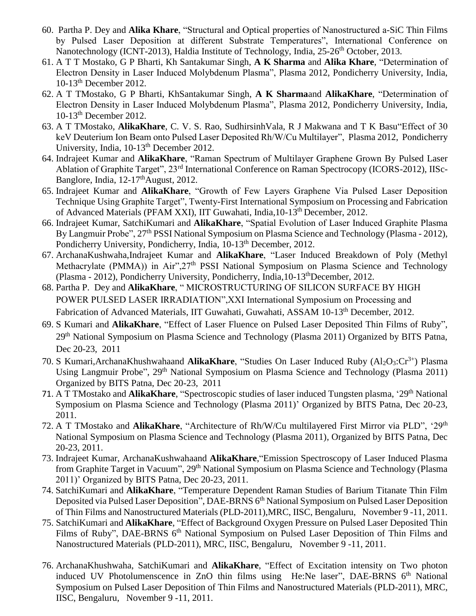- 60. Partha P. Dey and **Alika Khare**, "Structural and Optical properties of Nanostructured a-SiC Thin Films by Pulsed Laser Deposition at different Substrate Temperatures", International Conference on Nanotechnology (ICNT-2013), Haldia Institute of Technology, India, 25-26<sup>th</sup> October, 2013.
- 61. A T T Mostako, G P Bharti, Kh Santakumar Singh, **A K Sharma** and **Alika Khare**, "Determination of Electron Density in Laser Induced Molybdenum Plasma", Plasma 2012, Pondicherry University, India, 10-13th December 2012.
- 62. A T TMostako, G P Bharti, KhSantakumar Singh, **A K Sharma**and **AlikaKhare**, "Determination of Electron Density in Laser Induced Molybdenum Plasma", Plasma 2012, Pondicherry University, India, 10-13th December 2012.
- 63. A T TMostako, **AlikaKhare**, C. V. S. Rao, SudhirsinhVala, R J Makwana and T K Basu"Effect of 30 keV Deuterium Ion Beam onto Pulsed Laser Deposited Rh/W/Cu Multilayer", Plasma 2012, Pondicherry University, India, 10-13<sup>th</sup> December 2012.
- 64. Indrajeet Kumar and **AlikaKhare**, "Raman Spectrum of Multilayer Graphene Grown By Pulsed Laser Ablation of Graphite Target", 23rd International Conference on Raman Spectrocopy (ICORS-2012), IISc-Banglore, India, 12-17<sup>th</sup>August, 2012.
- 65. Indrajeet Kumar and **AlikaKhare**, "Growth of Few Layers Graphene Via Pulsed Laser Deposition Technique Using Graphite Target", Twenty-First International Symposium on Processing and Fabrication of Advanced Materials (PFAM XXI), IIT Guwahati, India,10-13th December, 2012.
- 66. Indrajeet Kumar, SatchiKumari and **AlikaKhare**, "Spatial Evolution of Laser Induced Graphite Plasma By Langmuir Probe", 27<sup>th</sup> PSSI National Symposium on Plasma Science and Technology (Plasma - 2012), Pondicherry University, Pondicherry, India, 10-13<sup>th</sup> December, 2012.
- 67. ArchanaKushwaha,Indrajeet Kumar and **AlikaKhare**, "Laser Induced Breakdown of Poly (Methyl Methacrylate (PMMA)) in Air",27<sup>th</sup> PSSI National Symposium on Plasma Science and Technology (Plasma - 2012), Pondicherry University, Pondicherry, India,10-13thDecember, 2012.
- 68. Partha P. Dey and **AlikaKhare**, " MICROSTRUCTURING OF SILICON SURFACE BY HIGH POWER PULSED LASER IRRADIATION",XXI International Symposium on Processing and Fabrication of Advanced Materials, IIT Guwahati, Guwahati, ASSAM 10-13<sup>th</sup> December, 2012.
- 69. S Kumari and **AlikaKhare**, "Effect of Laser Fluence on Pulsed Laser Deposited Thin Films of Ruby", 29<sup>th</sup> National Symposium on Plasma Science and Technology (Plasma 2011) Organized by BITS Patna, Dec 20-23, 2011
- 70. S Kumari,ArchanaKhushwahaand **AlikaKhare**, "Studies On Laser Induced Ruby (Al<sub>2</sub>O<sub>3</sub>:Cr<sup>3+</sup>) Plasma Using Langmuir Probe", 29<sup>th</sup> National Symposium on Plasma Science and Technology (Plasma 2011) Organized by BITS Patna, Dec 20-23, 2011
- 71. A T TMostako and **AlikaKhare**, "Spectroscopic studies of laser induced Tungsten plasma, '29<sup>th</sup> National Symposium on Plasma Science and Technology (Plasma 2011)' Organized by BITS Patna, Dec 20-23, 2011.
- 72. A T TMostako and **AlikaKhare**, "Architecture of Rh/W/Cu multilayered First Mirror via PLD", '29th National Symposium on Plasma Science and Technology (Plasma 2011), Organized by BITS Patna, Dec 20-23, 2011.
- 73. Indrajeet Kumar, ArchanaKushwahaand **AlikaKhare**,"Emission Spectroscopy of Laser Induced Plasma from Graphite Target in Vacuum", 29th National Symposium on Plasma Science and Technology (Plasma 2011)' Organized by BITS Patna, Dec 20-23, 2011.
- 74. SatchiKumari and **AlikaKhare**, "Temperature Dependent Raman Studies of Barium Titanate Thin Film Deposited via Pulsed Laser Deposition", DAE-BRNS 6<sup>th</sup> National Symposium on Pulsed Laser Deposition of Thin Films and Nanostructured Materials (PLD-2011),MRC, IISC, Bengaluru, November 9 -11, 2011.
- 75. SatchiKumari and **AlikaKhare**, "Effect of Background Oxygen Pressure on Pulsed Laser Deposited Thin Films of Ruby", DAE-BRNS 6<sup>th</sup> National Symposium on Pulsed Laser Deposition of Thin Films and Nanostructured Materials (PLD-2011), MRC, IISC, Bengaluru, November 9 -11, 2011.
- 76. ArchanaKhushwaha, SatchiKumari and **AlikaKhare**, "Effect of Excitation intensity on Two photon induced UV Photolumenscence in ZnO thin films using He:Ne laser", DAE-BRNS  $6<sup>th</sup>$  National Symposium on Pulsed Laser Deposition of Thin Films and Nanostructured Materials (PLD-2011), MRC, IISC, Bengaluru, November 9 -11, 2011.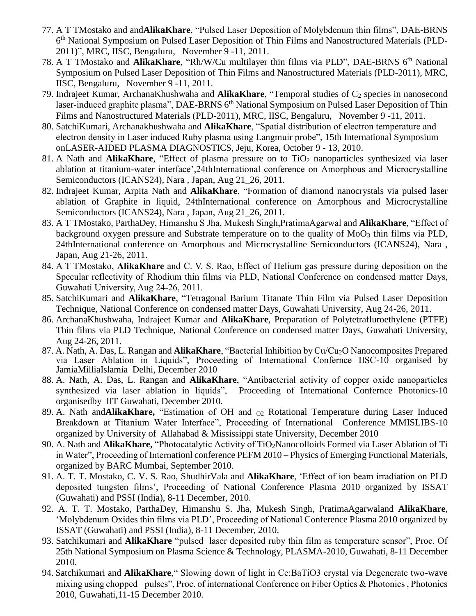- 77. A T TMostako and and**AlikaKhare**, "Pulsed Laser Deposition of Molybdenum thin films", DAE-BRNS 6<sup>th</sup> National Symposium on Pulsed Laser Deposition of Thin Films and Nanostructured Materials (PLD-2011)", MRC, IISC, Bengaluru, November 9 -11, 2011.
- 78. A T TMostako and **AlikaKhare**, "Rh/W/Cu multilayer thin films via PLD", DAE-BRNS 6<sup>th</sup> National Symposium on Pulsed Laser Deposition of Thin Films and Nanostructured Materials (PLD-2011), MRC, IISC, Bengaluru, November 9 -11, 2011.
- 79. Indrajeet Kumar, ArchanaKhushwaha and **AlikaKhare**, "Temporal studies of C<sub>2</sub> species in nanosecond laser-induced graphite plasma", DAE-BRNS 6<sup>th</sup> National Symposium on Pulsed Laser Deposition of Thin Films and Nanostructured Materials (PLD-2011), MRC, IISC, Bengaluru, November 9 -11, 2011.
- 80. SatchiKumari, Archanakhushwaha and **AlikaKhare**, "Spatial distribution of electron temperature and electron density in Laser induced Ruby plasma using Langmuir probe", 15th International Symposium onLASER-AIDED PLASMA DIAGNOSTICS, Jeju, Korea, October 9 - 13, 2010.
- 81. A Nath and **AlikaKhare**, "Effect of plasma pressure on to TiO<sub>2</sub> nanoparticles synthesized via laser ablation at titanium-water interface',24thInternational conference on Amorphous and Microcrystalline Semiconductors (ICANS24), Nara, Japan, Aug 21\_26, 2011.
- 82. Indrajeet Kumar, Arpita Nath and **AlikaKhare**, "Formation of diamond nanocrystals via pulsed laser ablation of Graphite in liquid, 24thInternational conference on Amorphous and Microcrystalline Semiconductors (ICANS24), Nara , Japan, Aug 21\_26, 2011.
- 83. A T TMostako, ParthaDey, Himanshu S Jha, Mukesh Singh,PratimaAgarwal and **AlikaKhare**, "Effect of background oxygen pressure and Substrate temperature on to the quality of  $MoO<sub>3</sub>$  thin films via PLD, 24thInternational conference on Amorphous and Microcrystalline Semiconductors (ICANS24), Nara , Japan, Aug 21-26, 2011.
- 84. A T TMostako, **AlikaKhare** and C. V. S. Rao, Effect of Helium gas pressure during deposition on the Specular reflectivity of Rhodium thin films via PLD, National Conference on condensed matter Days, Guwahati University, Aug 24-26, 2011.
- 85. SatchiKumari and **AlikaKhare**, "Tetragonal Barium Titanate Thin Film via Pulsed Laser Deposition Technique, National Conference on condensed matter Days, Guwahati University, Aug 24-26, 2011.
- 86. ArchanaKhushwaha, Indrajeet Kumar and **AlikaKhare**, Preparation of Polytetrafluroethylene (PTFE) Thin films via PLD Technique, National Conference on condensed matter Days, Guwahati University, Aug 24-26, 2011.
- 87. A. Nath, A. Das, L. Rangan and **AlikaKhare**, "Bacterial Inhibition by Cu/Cu2O Nanocomposites Prepared via Laser Ablation in Liquids", Proceeding of International Confernce IISC-10 organised by JamiaMilliaIslamia Delhi, December 2010
- 88. A. Nath, A. Das, L. Rangan and **AlikaKhare**, "Antibacterial activity of copper oxide nanoparticles synthesized via laser ablation in liquids", Proceeding of International Confernce Photonics-10 organisedby IIT Guwahati, December 2010.
- 89. A. Nath and **AlikaKhare,** "Estimation of OH and  $_{O2}$  Rotational Temperature during Laser Induced Breakdown at Titanium Water Interface", Proceeding of International Conference MMISLIBS-10 organized by University of Allahabad & Mississippi state University, December 2010
- 90. A. Nath and **AlikaKhare,** "Photocatalytic Activity of TiO2Nanocolloids Formed via Laser Ablation of Ti in Water", Proceeding of Internationl conference PEFM 2010 – Physics of Emerging Functional Materials, organized by BARC Mumbai, September 2010.
- 91. A. T. T. Mostako, C. V. S. Rao, ShudhirVala and **AlikaKhare**, 'Effect of ion beam irradiation on PLD deposited tungsten films', Proceeding of National Conference Plasma 2010 organized by ISSAT (Guwahati) and PSSI (India), 8-11 December, 2010.
- 92. A. T. T. Mostako, ParthaDey, Himanshu S. Jha, Mukesh Singh, PratimaAgarwaland **AlikaKhare**, 'Molybdenum Oxides thin films via PLD', Proceeding of National Conference Plasma 2010 organized by ISSAT (Guwahati) and PSSI (India), 8-11 December, 2010.
- 93. Satchikumari and **AlikaKhare** "pulsed laser deposited ruby thin film as temperature sensor", Proc. Of 25th National Symposium on Plasma Science & Technology, PLASMA-2010, Guwahati, 8-11 December 2010.
- 94. Satchikumari and **AlikaKhare**," Slowing down of light in Ce:BaTiO3 crystal via Degenerate two-wave mixing using chopped pulses", Proc. of international Conference on Fiber Optics & Photonics , Photonics 2010, Guwahati,11-15 December 2010.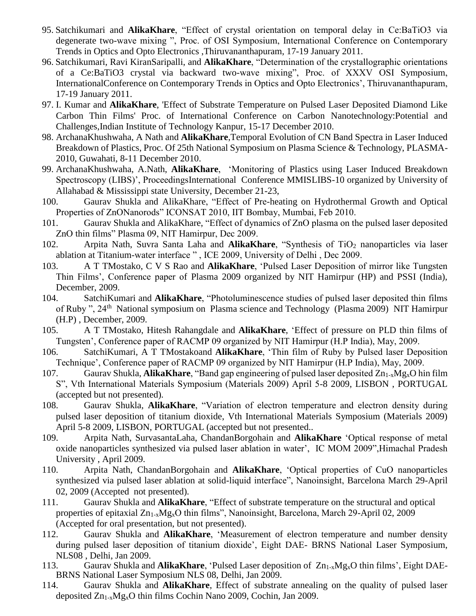- 95. Satchikumari and **AlikaKhare**, "Effect of crystal orientation on temporal delay in Ce:BaTiO3 via degenerate two-wave mixing ", Proc. of OSI Symposium, International Conference on Contemporary Trends in Optics and Opto Electronics ,Thiruvananthapuram, 17-19 January 2011.
- 96. Satchikumari, Ravi KiranSaripalli, and **AlikaKhare**, "Determination of the crystallographic orientations of a Ce:BaTiO3 crystal via backward two-wave mixing", Proc. of XXXV OSI Symposium, InternationalConference on Contemporary Trends in Optics and Opto Electronics', Thiruvananthapuram, 17-19 January 2011.
- 97. I. Kumar and **AlikaKhare**, 'Effect of Substrate Temperature on Pulsed Laser Deposited Diamond Like Carbon Thin Films' Proc. of International Conference on Carbon Nanotechnology:Potential and Challenges,Indian Institute of Technology Kanpur, 15-17 December 2010.
- 98. ArchanaKhushwaha, A Nath and **AlikaKhare**,Temporal Evolution of CN Band Spectra in Laser Induced Breakdown of Plastics, Proc. Of 25th National Symposium on Plasma Science & Technology, PLASMA-2010, Guwahati, 8-11 December 2010.
- 99. ArchanaKhushwaha, A.Nath, **AlikaKhare**, 'Monitoring of Plastics using Laser Induced Breakdown Spectroscopy (LIBS)', ProceedingsInternational Conference MMISLIBS-10 organized by University of Allahabad & Mississippi state University, December 21-23,
- 100. Gaurav Shukla and AlikaKhare, "Effect of Pre-heating on Hydrothermal Growth and Optical Properties of ZnONanorods" ICONSAT 2010, IIT Bombay, Mumbai, Feb 2010.
- 101. Gaurav Shukla and AlikaKhare, "Effect of dynamics of ZnO plasma on the pulsed laser deposited ZnO thin films" Plasma 09, NIT Hamirpur, Dec 2009.
- 102. Arpita Nath, Suvra Santa Laha and **AlikaKhare**, "Synthesis of TiO<sup>2</sup> nanoparticles via laser ablation at Titanium-water interface " , ICE 2009, University of Delhi , Dec 2009.
- 103. A T TMostako, C V S Rao and **AlikaKhare**, 'Pulsed Laser Deposition of mirror like Tungsten Thin Films', Conference paper of Plasma 2009 organized by NIT Hamirpur (HP) and PSSI (India), December, 2009.
- 104. SatchiKumari and **AlikaKhare**, "Photoluminescence studies of pulsed laser deposited thin films of Ruby", 24<sup>th</sup> National symposium on Plasma science and Technology (Plasma 2009) NIT Hamirpur (H.P) , December, 2009.
- 105. A T TMostako, Hitesh Rahangdale and **AlikaKhare**, 'Effect of pressure on PLD thin films of Tungsten', Conference paper of RACMP 09 organized by NIT Hamirpur (H.P India), May, 2009.
- 106. SatchiKumari, A T TMostakoand **AlikaKhare**, 'Thin film of Ruby by Pulsed laser Deposition Technique', Conference paper of RACMP 09 organized by NIT Hamirpur (H.P India), May, 2009.
- 107. Gaurav Shukla, **AlikaKhare**, "Band gap engineering of pulsed laser deposited Zn1-xMgxO hin film S", Vth International Materials Symposium (Materials 2009) April 5-8 2009, LISBON , PORTUGAL (accepted but not presented).
- 108. Gaurav Shukla, **AlikaKhare**, "Variation of electron temperature and electron density during pulsed laser deposition of titanium dioxide, Vth International Materials Symposium (Materials 2009) April 5-8 2009, LISBON, PORTUGAL (accepted but not presented..
- 109. Arpita Nath, SurvasantaLaha, ChandanBorgohain and **AlikaKhare** 'Optical response of metal oxide nanoparticles synthesized via pulsed laser ablation in water', IC MOM 2009",Himachal Pradesh University , April 2009.
- 110. Arpita Nath, ChandanBorgohain and **AlikaKhare**, 'Optical properties of CuO nanoparticles synthesized via pulsed laser ablation at solid-liquid interface", Nanoinsight, Barcelona March 29-April 02, 2009 (Accepted not presented).
- 111. Gaurav Shukla and **AlikaKhare**, "Effect of substrate temperature on the structural and optical properties of epitaxial Zn1-xMgxO thin films", Nanoinsight, Barcelona, March 29-April 02, 2009 (Accepted for oral presentation, but not presented).
- 112. Gaurav Shukla and **AlikaKhare**, 'Measurement of electron temperature and number density during pulsed laser deposition of titanium dioxide', Eight DAE- BRNS National Laser Symposium, NLS08 , Delhi, Jan 2009.
- 113. Gaurav Shukla and **AlikaKhare**, 'Pulsed Laser deposition of Zn1-xMgxO thin films', Eight DAE-BRNS National Laser Symposium NLS 08, Delhi, Jan 2009.
- 114. Gaurav Shukla and **AlikaKhare**, Effect of substrate annealing on the quality of pulsed laser deposited Zn1-xMgxO thin films Cochin Nano 2009, Cochin, Jan 2009.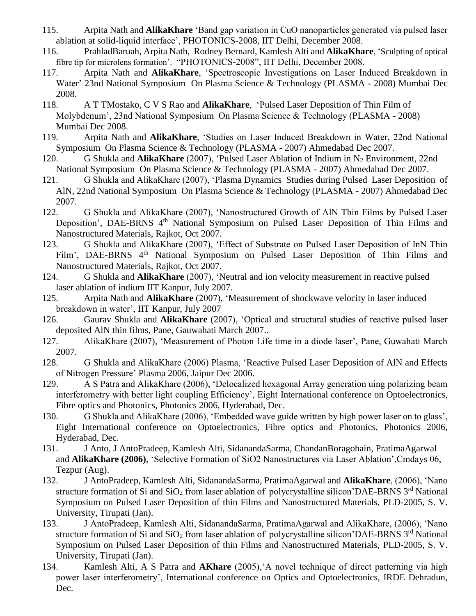- 115. Arpita Nath and **AlikaKhare** 'Band gap variation in CuO nanoparticles generated via pulsed laser ablation at solid-liquid interface', PHOTONICS-2008, IIT Delhi, December 2008.
- 116. PrahladBaruah, Arpita Nath, Rodney Bernard, Kamlesh Alti and **AlikaKhare**, 'Sculpting of optical fibre tip for microlens formation'. "PHOTONICS-2008", IIT Delhi, December 2008.
- 117. Arpita Nath and **AlikaKhare**, 'Spectroscopic Investigations on Laser Induced Breakdown in Water' 23nd National Symposium On Plasma Science & Technology (PLASMA - 2008) Mumbai Dec 2008.
- 118. A T TMostako, C V S Rao and **AlikaKhare**, 'Pulsed Laser Deposition of Thin Film of Molybdenum', 23nd National Symposium On Plasma Science & Technology (PLASMA - 2008) Mumbai Dec 2008.
- 119. Arpita Nath and **AlikaKhare**, 'Studies on Laser Induced Breakdown in Water, 22nd National Symposium On Plasma Science & Technology (PLASMA - 2007) Ahmedabad Dec 2007.
- 120. G Shukla and **AlikaKhare** (2007), 'Pulsed Laser Ablation of Indium in N<sup>2</sup> Environment, 22nd National Symposium On Plasma Science & Technology (PLASMA - 2007) Ahmedabad Dec 2007.
- 121. G Shukla and AlikaKhare (2007), 'Plasma Dynamics Studies during Pulsed Laser Deposition of AlN, 22nd National Symposium On Plasma Science & Technology (PLASMA - 2007) Ahmedabad Dec 2007.
- 122. G Shukla and AlikaKhare (2007), 'Nanostructured Growth of AlN Thin Films by Pulsed Laser Deposition', DAE-BRNS 4<sup>th</sup> National Symposium on Pulsed Laser Deposition of Thin Films and Nanostructured Materials, Rajkot, Oct 2007.
- 123. G Shukla and AlikaKhare (2007), 'Effect of Substrate on Pulsed Laser Deposition of InN Thin Film', DAE-BRNS 4<sup>th</sup> National Symposium on Pulsed Laser Deposition of Thin Films and Nanostructured Materials, Rajkot, Oct 2007.
- 124. G Shukla and **AlikaKhare** (2007), 'Neutral and ion velocity measurement in reactive pulsed laser ablation of indium IIT Kanpur, July 2007.
- 125. Arpita Nath and **AlikaKhare** (2007), 'Measurement of shockwave velocity in laser induced breakdown in water', IIT Kanpur, July 2007
- 126. Gaurav Shukla and **AlikaKhare** (2007), 'Optical and structural studies of reactive pulsed laser deposited AlN thin films, Pane, Gauwahati March 2007..
- 127. AlikaKhare (2007), 'Measurement of Photon Life time in a diode laser', Pane, Guwahati March 2007.
- 128. G Shukla and AlikaKhare (2006) Plasma, 'Reactive Pulsed Laser Deposition of AlN and Effects of Nitrogen Pressure' Plasma 2006, Jaipur Dec 2006.
- 129. A S Patra and AlikaKhare (2006), 'Delocalized hexagonal Array generation uing polarizing beam interferometry with better light coupling Efficiency', Eight International conference on Optoelectronics, Fibre optics and Photonics, Photonics 2006, Hyderabad, Dec.
- 130. G Shukla and AlikaKhare (2006), 'Embedded wave guide written by high power laser on to glass', Eight International conference on Optoelectronics, Fibre optics and Photonics, Photonics 2006, Hyderabad, Dec.
- 131. J Anto, J AntoPradeep, Kamlesh Alti, SidanandaSarma, ChandanBoragohain, PratimaAgarwal and **AlikaKhare (2006)**, 'Selective Formation of SiO2 Nanostructures via Laser Ablation',Cmdays 06, Tezpur (Aug).
- 132. J AntoPradeep, Kamlesh Alti, SidanandaSarma, PratimaAgarwal and **AlikaKhare**, (2006), 'Nano structure formation of Si and  $SiO<sub>2</sub>$  from laser ablation of polycrystalline silicon'DAE-BRNS  $3<sup>rd</sup>$  National Symposium on Pulsed Laser Deposition of thin Films and Nanostructured Materials, PLD-2005, S. V. University, Tirupati (Jan).
- 133. J AntoPradeep, Kamlesh Alti, SidanandaSarma, PratimaAgarwal and AlikaKhare, (2006), 'Nano structure formation of Si and  $SiO<sub>2</sub>$  from laser ablation of polycrystalline silicon'DAE-BRNS  $3<sup>rd</sup>$  National Symposium on Pulsed Laser Deposition of thin Films and Nanostructured Materials, PLD-2005, S. V. University, Tirupati (Jan).
- 134. Kamlesh Alti, A S Patra and **AKhare** (2005),'A novel technique of direct patterning via high power laser interferometry', International conference on Optics and Optoelectronics, IRDE Dehradun, Dec.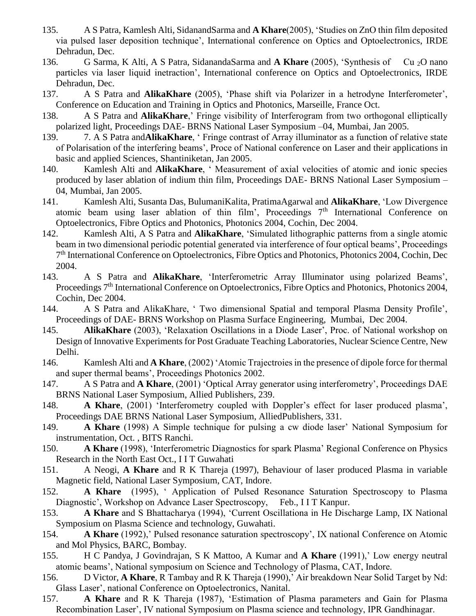- 135. A S Patra, Kamlesh Alti, SidanandSarma and **A Khare**(2005), 'Studies on ZnO thin film deposited via pulsed laser deposition technique', International conference on Optics and Optoelectronics, IRDE Dehradun, Dec.
- 136. G Sarma, K Alti, A S Patra, SidanandaSarma and **A Khare** (2005), 'Synthesis of Cu 2O nano particles via laser liquid inetraction', International conference on Optics and Optoelectronics, IRDE Dehradun, Dec.
- 137. A S Patra and **AlikaKhare** (2005), 'Phase shift via Polarizer in a hetrodyne Interferometer', Conference on Education and Training in Optics and Photonics, Marseille, France Oct.
- 138. A S Patra and **AlikaKhare**,' Fringe visibility of Interferogram from two orthogonal elliptically polarized light, Proceedings DAE- BRNS National Laser Symposium –04, Mumbai, Jan 2005.
- 139. 7. A S Patra and**AlikaKhare**, ' Fringe contrast of Array illuminator as a function of relative state of Polarisation of the interfering beams', Proce of National conference on Laser and their applications in basic and applied Sciences, Shantiniketan, Jan 2005.
- 140. Kamlesh Alti and **AlikaKhare**, ' Measurement of axial velocities of atomic and ionic species produced by laser ablation of indium thin film, Proceedings DAE- BRNS National Laser Symposium – 04, Mumbai, Jan 2005.
- 141. Kamlesh Alti, Susanta Das, BulumaniKalita, PratimaAgarwal and **AlikaKhare**, 'Low Divergence atomic beam using laser ablation of thin film', Proceedings 7<sup>th</sup> International Conference on Optoelectronics, Fibre Optics and Photonics, Photonics 2004, Cochin, Dec 2004.
- 142. Kamlesh Alti, A S Patra and **AlikaKhare**, 'Simulated lithographic patterns from a single atomic beam in two dimensional periodic potential generated via interference of four optical beams', Proceedings 7<sup>th</sup> International Conference on Optoelectronics, Fibre Optics and Photonics, Photonics 2004, Cochin, Dec 2004.
- 143. A S Patra and **AlikaKhare**, 'Interferometric Array Illuminator using polarized Beams', Proceedings 7<sup>th</sup> International Conference on Optoelectronics, Fibre Optics and Photonics, Photonics 2004, Cochin, Dec 2004.
- 144. A S Patra and AlikaKhare, ' Two dimensional Spatial and temporal Plasma Density Profile', Proceedings of DAE- BRNS Workshop on Plasma Surface Engineering, Mumbai, Dec 2004.
- 145. **AlikaKhare** (2003), 'Relaxation Oscillations in a Diode Laser', Proc. of National workshop on Design of Innovative Experiments for Post Graduate Teaching Laboratories, Nuclear Science Centre, New Delhi.
- 146. Kamlesh Alti and **A Khare**, (2002) 'Atomic Trajectroies in the presence of dipole force for thermal and super thermal beams', Proceedings Photonics 2002.
- 147. A S Patra and **A Khare**, (2001) 'Optical Array generator using interferometry', Proceedings DAE BRNS National Laser Symposium, Allied Publishers, 239.
- 148. **A Khare**, (2001) 'Interferometry coupled with Doppler's effect for laser produced plasma', Proceedings DAE BRNS National Laser Symposium, AlliedPublishers, 331.
- 149. **A Khare** (1998) A Simple technique for pulsing a cw diode laser' National Symposium for instrumentation, Oct. , BITS Ranchi.
- 150. **A Khare** (1998), 'Interferometric Diagnostics for spark Plasma' Regional Conference on Physics Research in the North East Oct., I I T Guwahati
- 151. A Neogi, **A Khare** and R K Thareja (1997), Behaviour of laser produced Plasma in variable Magnetic field, National Laser Symposium, CAT, Indore.
- 152. **A Khare** (1995), ' Application of Pulsed Resonance Saturation Spectroscopy to Plasma Diagnostic', Workshop on Advance Laser Spectroscopy, Feb., I I T Kanpur.
- 153. **A Khare** and S Bhattacharya (1994), 'Current Oscillationa in He Discharge Lamp, IX National Symposium on Plasma Science and technology, Guwahati.
- 154. **A Khare** (1992),' Pulsed resonance saturation spectroscopy', IX national Conference on Atomic and Mol Physics, BARC, Bombay.
- 155. H C Pandya, J Govindrajan, S K Mattoo, A Kumar and **A Khare** (1991),' Low energy neutral atomic beams', National symposium on Science and Technology of Plasma, CAT, Indore.
- 156. D Victor, **A Khare**, R Tambay and R K Thareja (1990),' Air breakdown Near Solid Target by Nd: Glass Laser', national Conference on Optoelectronics, Nanital.
- 157. **A Khare** and R K Thareja (1987), 'Estimation of Plasma parameters and Gain for Plasma Recombination Laser', IV national Symposium on Plasma science and technology, IPR Gandhinagar.